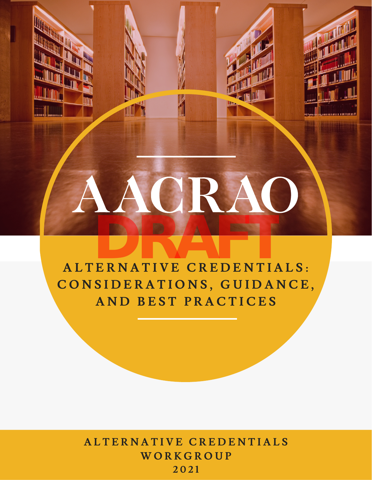# **A L T E R N A T I V E C R E D E N T I A L S : C O N S I D E R A T I O N S , G U I D A N C E , A N D B E S T P R A C T I C E S DRAFT**

**A L T E R N A T I V E C R E D E N T I A L S W O R K G R O U P 2 0 2 1**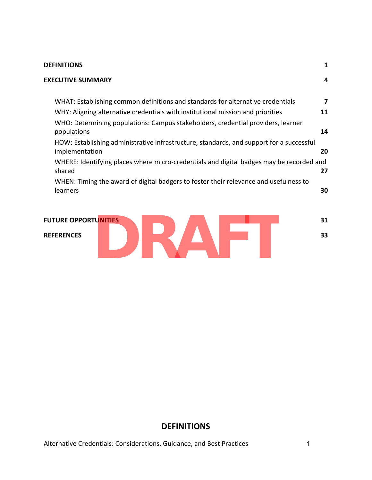#### **DEFINITIONS 1**

| <b>EXECUTIVE SUMMARY</b>                                                                                   | 4  |
|------------------------------------------------------------------------------------------------------------|----|
| WHAT: Establishing common definitions and standards for alternative credentials                            | 7  |
| WHY: Aligning alternative credentials with institutional mission and priorities                            | 11 |
| WHO: Determining populations: Campus stakeholders, credential providers, learner<br>populations            | 14 |
| HOW: Establishing administrative infrastructure, standards, and support for a successful<br>implementation | 20 |
| WHERE: Identifying places where micro-credentials and digital badges may be recorded and<br>shared         | 27 |
| WHEN: Timing the award of digital badgers to foster their relevance and usefulness to<br>learners          | 30 |

# **FUTURE OPPORTUNITIES 31 REFERENCES 33 DRAFT**

#### **DEFINITIONS**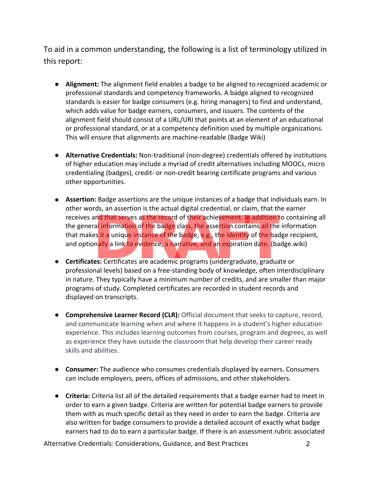To aid in a common understanding, the following is a list of terminology utilized in this report:

- **Alignment:** The alignment field enables a badge to be aligned to recognized academic or professional standards and competency frameworks. A badge aligned to recognized standards is easier for badge consumers (e.g. hiring managers) to find and understand, which adds value for badge earners, consumers, and issuers. The contents of the alignment field should consist of a URL/URI that points at an element of an educational or professional standard, or at a competency definition used by multiple organizations. This will ensure that alignments are machine-readable (Badge Wiki)
- **Alternative Credentials:** Non-traditional (non-degree) credentials offered by institutions of higher education may include a myriad of credit alternatives including MOOCs, micro credentialing (badges), credit- or non-credit bearing certificate programs and various other opportunities.
- **Assertion:** Badge assertions are the unique instances of a badge that individuals earn. In other words, an assertion is the actual digital credential, or claim, that the earner receives and that serves as the record of their achievement. In addition to containing all the genera<mark>l in</mark>formation of the badge class, the asse<mark>rti</mark>on contains all the information that makes it a unique instance of the badge, e.g., the identity of the badge recipient, and optionally a link to evidence, a narrative, and an expiration date. (badge.wiki) and that serves as the record of their achievement. In addition ral information of the badge class, the assertion contains all the es it a unique instance of the badge, e.g., the identity of the badge, and an expiration da
- **Certificates:** Certificates are academic programs (undergraduate, graduate or professional levels) based on a free-standing body of knowledge, often interdisciplinary in nature. They typically have a minimum number of credits, and are smaller than major programs of study. Completed certificates are recorded in student records and displayed on transcripts.
- **Comprehensive Learner Record (CLR):** Official document that seeks to capture, record, and communicate learning when and where it happens in a student's higher education experience. This includes learning outcomes from courses, program and degrees, as well as experience they have outside the classroom that help develop their career ready skills and abilities.
- **Consumer:** The audience who consumes credentials displayed by earners. Consumers can include employers, peers, offices of admissions, and other stakeholders.
- **Criteria:** Criteria list all of the detailed requirements that a badge earner had to meet in order to earn a given badge. Criteria are written for potential badge earners to provide them with as much specific detail as they need in order to earn the badge. Criteria are also written for badge consumers to provide a detailed account of exactly what badge earners had to do to earn a particular badge. If there is an assessment rubric associated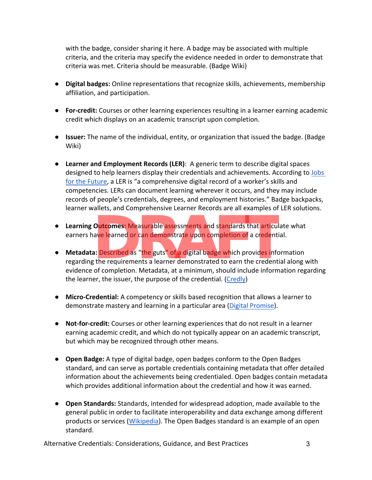with the badge, consider sharing it here. A badge may be associated with multiple criteria, and the criteria may specify the evidence needed in order to demonstrate that criteria was met. Criteria should be measurable. (Badge Wiki)

- **Digital badges:** Online representations that recognize skills, achievements, membership affiliation, and participation.
- **For-credit:** Courses or other learning experiences resulting in a learner earning academic credit which displays on an academic transcript upon completion.
- **Issuer:** The name of the individual, entity, or organization that issued the badge. (Badge Wiki)
- **Learner and Employment Records (LER)**: A generic term to describe digital spaces designed to help learners display their credentials and achievements. According to Jobs for the Future, a LER is "a comprehensive digital record of a worker's skills and competencies. LERs can document learning wherever it occurs, and they may include records of people's credentials, degrees, and employment histories." Badge backpacks, learner wallets, and Comprehensive Learner Records are all examples of LER solutions.
- **Learning Outcomes:** Measurable assessments and standards that articulate what earners have learned or can demonstrate upon completion of a credential.
- **Metadata:** Described as "the guts" of a digital badge which provides information regarding the requirements a learner demonstrated to earn the credential along with evidence of completion. Metadata, at a minimum, should include information regarding the learner, the issuer, the purpose of the credential. (Credly) **Outcomes:** Measurable assessments and standards that articulave learned or can demonstrate upon completion of a credent<br>a: Described as "the guts" of a digital badge which provides info<br>t; the requirements a learner demon
- **Micro-Credential:** A competency or skills based recognition that allows a learner to demonstrate mastery and learning in a particular area (Digital Promise).
- **Not-for-credit:** Courses or other learning experiences that do not result in a learner earning academic credit, and which do not typically appear on an academic transcript, but which may be recognized through other means.
- **Open Badge:** A type of digital badge, open badges conform to the Open Badges standard, and can serve as portable credentials containing metadata that offer detailed information about the achievements being credentialed. Open badges contain metadata which provides additional information about the credential and how it was earned.
- **Open Standards:** Standards, intended for widespread adoption, made available to the general public in order to facilitate interoperability and data exchange among different products or services (Wikipedia). The Open Badges standard is an example of an open standard.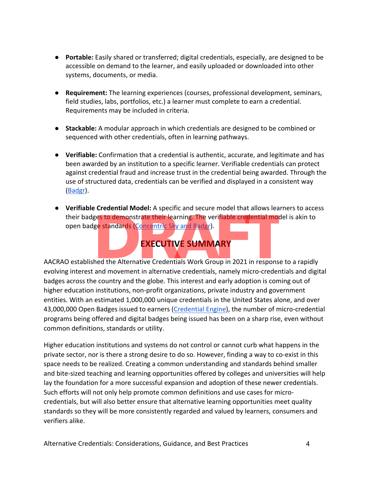- **Portable:** Easily shared or transferred; digital credentials, especially, are designed to be accessible on demand to the learner, and easily uploaded or downloaded into other systems, documents, or media.
- **Requirement:** The learning experiences (courses, professional development, seminars, field studies, labs, portfolios, etc.) a learner must complete to earn a credential. Requirements may be included in criteria.
- **Stackable:** A modular approach in which credentials are designed to be combined or sequenced with other credentials, often in learning pathways.
- **Verifiable:** Confirmation that a credential is authentic, accurate, and legitimate and has been awarded by an institution to a specific learner. Verifiable credentials can protect against credential fraud and increase trust in the credential being awarded. Through the use of structured data, credentials can be verified and displayed in a consistent way (Badgr).
- **Verifiable Credential Model:** A specific and secure model that allows learners to access their badges to demonstrate their learning. The verifiable credential model is akin to open badge standards (Concentric Sky and Badgr). ges to demonstrate their learning. The verifiable credential more standards (Concentric Sky and Badgr).<br>
EXECUTIVE SUMMARY<br>
hed the Alternative Credentials Work Group in 2021 in responsed movement in alternative and anti-

# **EXECUTIVE SUMMARY**

AACRAO established the Alternative Credentials Work Group in 2021 in response to a rapidly evolving interest and movement in alternative credentials, namely micro-credentials and digital badges across the country and the globe. This interest and early adoption is coming out of higher education institutions, non-profit organizations, private industry and government entities. With an estimated 1,000,000 unique credentials in the United States alone, and over 43,000,000 Open Badges issued to earners (Credential Engine), the number of micro-credential programs being offered and digital badges being issued has been on a sharp rise, even without common definitions, standards or utility.

Higher education institutions and systems do not control or cannot curb what happens in the private sector, nor is there a strong desire to do so. However, finding a way to co-exist in this space needs to be realized. Creating a common understanding and standards behind smaller and bite-sized teaching and learning opportunities offered by colleges and universities will help lay the foundation for a more successful expansion and adoption of these newer credentials. Such efforts will not only help promote common definitions and use cases for microcredentials, but will also better ensure that alternative learning opportunities meet quality standards so they will be more consistently regarded and valued by learners, consumers and verifiers alike.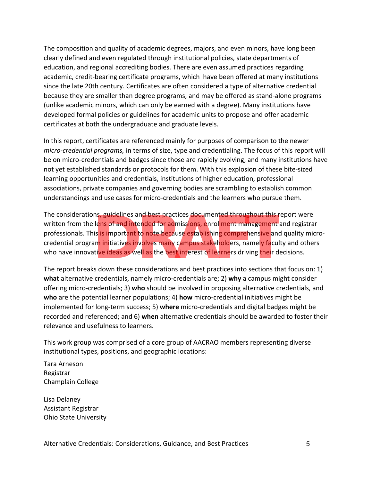The composition and quality of academic degrees, majors, and even minors, have long been clearly defined and even regulated through institutional policies, state departments of education, and regional accrediting bodies. There are even assumed practices regarding academic, credit-bearing certificate programs, which have been offered at many institutions since the late 20th century. Certificates are often considered a type of alternative credential because they are smaller than degree programs, and may be offered as stand-alone programs (unlike academic minors, which can only be earned with a degree). Many institutions have developed formal policies or guidelines for academic units to propose and offer academic certificates at both the undergraduate and graduate levels.

In this report, certificates are referenced mainly for purposes of comparison to the newer *micro-credential programs,* in terms of size, type and credentialing. The focus of this report will be on micro-credentials and badges since those are rapidly evolving, and many institutions have not yet established standards or protocols for them. With this explosion of these bite-sized learning opportunities and credentials, institutions of higher education, professional associations, private companies and governing bodies are scrambling to establish common understandings and use cases for micro-credentials and the learners who pursue them.

The considerations, guidelines and best practices documented throughout this report were written from the lens of and intended for admissions, enrollment management and registrar professionals. This <mark>is</mark> import<mark>an</mark>t to note because establishing comprehensive and quality microcredential program initiatives involves many campus stakeholders, namely faculty and others who have innovative ideas as well as the best interest of learners driving their decisions. ns, guidelines and best practices documented throughout this lens of and intended for admissions, enrollment management<br>is is important to note because establishing comprehensive and<br>am initiatives involves many campus sta

The report breaks down these considerations and best practices into sections that focus on: 1) **what** alternative credentials, namely micro-credentials are; 2) **why** a campus might consider offering micro-credentials; 3) **who** should be involved in proposing alternative credentials, and **who** are the potential learner populations; 4) **how** micro-credential initiatives might be implemented for long-term success; 5) **where** micro-credentials and digital badges might be recorded and referenced; and 6) **when** alternative credentials should be awarded to foster their relevance and usefulness to learners.

This work group was comprised of a core group of AACRAO members representing diverse institutional types, positions, and geographic locations:

Tara Arneson<br>Registrar Champlain College

Lisa Delaney Assistant Registrar Ohio State University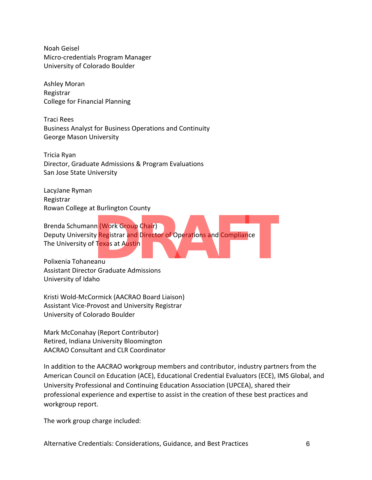Noah Geisel Micro-credentials Program Manager University of Colorado Boulder

 Ashley Moran Registrar College for Financial Planning

Traci Rees<br>Business Analyst for Business Operations and Continuity George Mason University

Tricia Ryan<br>Director, Graduate Admissions & Program Evaluations San Jose State University

LacyJane Ryman<br>Registrar Rowan College at Burlington County

Brenda Schumann (Work Group Chair)<br>Deputy University Registrar and Director of Operations and Compliance The University of Texas at Austin In (Work Group Chair)<br>
y Registrar and Director of Operations and Compliance<br>
FTexas at Austin<br>
Praduate Admissions

Polixenia Tohaneanu<br>Assistant Director Graduate Admissions University of Idaho

Kristi Wold-McCormick (AACRAO Board Liaison) Assistant Vice-Provost and University Registrar University of Colorado Boulder

Mark McConahay (Report Contributor) Retired, Indiana University Bloomington AACRAO Consultant and CLR Coordinator

In addition to the AACRAO workgroup members and contributor, industry partners from the American Council on Education (ACE), Educational Credential Evaluators (ECE), IMS Global, and University Professional and Continuing Education Association (UPCEA), shared their professional experience and expertise to assist in the creation of these best practices and workgroup report.

The work group charge included: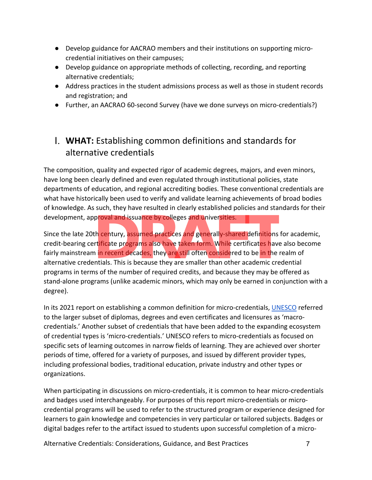- Develop guidance for AACRAO members and their institutions on supporting microcredential initiatives on their campuses;
- Develop guidance on appropriate methods of collecting, recording, and reporting alternative credentials;
- Address practices in the student admissions process as well as those in student records and registration; and
- Further, an AACRAO 60-second Survey (have we done surveys on micro-credentials?)

# I. **WHAT:** Establishing common definitions and standards for alternative credentials

The composition, quality and expected rigor of academic degrees, majors, and even minors, have long been clearly defined and even regulated through institutional policies, state departments of education, and regional accrediting bodies. These conventional credentials are what have historically been used to verify and validate learning achievements of broad bodies of knowledge. As such, they have resulted in clearly established policies and standards for their development, approval and issuance by colleges and universities.

Since the late 20th century, <mark>as</mark>su<mark>med pract</mark>ices and generally-shared definitions for academic, credit-bearing certificate programs also have taken form. While certificates have also become fairly mainstream in recent decades, they are still often considered to be in the realm of alternative credentials. This is because they are smaller than other academic credential programs in terms of the number of required credits, and because they may be offered as stand-alone programs (unlike academic minors, which may only be earned in conjunction with a degree). proval and issuance by colleges and universities.<br>
th century, assumed practices and generally-shared definitions<br>
trificate programs also have taken form. While certificates have<br>
in recent decades, they are still often c

In its 2021 report on establishing a common definition for micro-credentials, UNESCO referred to the larger subset of diplomas, degrees and even certificates and licensures as 'macrocredentials.' Another subset of credentials that have been added to the expanding ecosystem of credential types is 'micro-credentials.' UNESCO refers to micro-credentials as focused on specific sets of learning outcomes in narrow fields of learning. They are achieved over shorter periods of time, offered for a variety of purposes, and issued by different provider types, including professional bodies, traditional education, private industry and other types or organizations.

When participating in discussions on micro-credentials, it is common to hear micro-credentials and badges used interchangeably. For purposes of this report micro-credentials or microcredential programs will be used to refer to the structured program or experience designed for learners to gain knowledge and competencies in very particular or tailored subjects. Badges or digital badges refer to the artifact issued to students upon successful completion of a micro-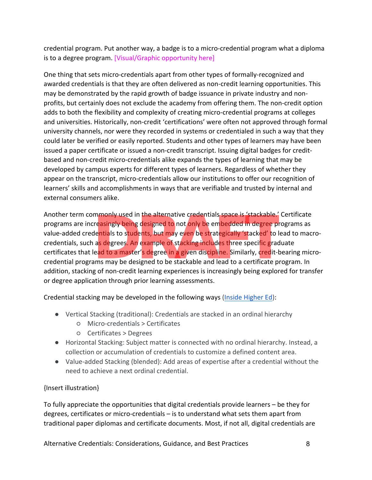credential program. Put another way, a badge is to a micro-credential program what a diploma is to a degree program. [Visual/Graphic opportunity here]

One thing that sets micro-credentials apart from other types of formally-recognized and awarded credentials is that they are often delivered as non-credit learning opportunities. This may be demonstrated by the rapid growth of badge issuance in private industry and nonprofits, but certainly does not exclude the academy from offering them. The non-credit option adds to both the flexibility and complexity of creating micro-credential programs at colleges and universities. Historically, non-credit 'certifications' were often not approved through formal university channels, nor were they recorded in systems or credentialed in such a way that they could later be verified or easily reported. Students and other types of learners may have been issued a paper certificate or issued a non-credit transcript. Issuing digital badges for creditbased and non-credit micro-credentials alike expands the types of learning that may be developed by campus experts for different types of learners. Regardless of whether they appear on the transcript, micro-credentials allow our institutions to offer our recognition of learners' skills and accomplishments in ways that are verifiable and trusted by internal and external consumers alike.

Another term commonly used in the alternative credentials space is 'stackable.' Certificate programs are increasingly being designed to not only be embedded in degree programs as value-added credentials to students, but may even be strategically 'stacked' to lead to macrocredentials, such as degrees. An example of stacking includes three specific graduate certificates that lead to a master's degree in a given discipline. Similarly, credit-bearing microcredential programs may be designed to be stackable and lead to a certificate program. In addition, stacking of non-credit learning experiences is increasingly being explored for transfer or degree application through prior learning assessments. mmonly used in the alternative credentials space is 'stackable.'<br> **Preasingly being designed to not only be embedded in degree pi**<br> **DRAFTATION STATES:** Not may even be strategically 'stacked' to l<br>
as degrees. An example

Credential stacking may be developed in the following ways (Inside Higher Ed):

- Vertical Stacking (traditional): Credentials are stacked in an ordinal hierarchy
	- Micro-credentials > Certificates
	- Certificates > Degrees
- Horizontal Stacking: Subject matter is connected with no ordinal hierarchy. Instead, a collection or accumulation of credentials to customize a defined content area.
- Value-added Stacking (blended): Add areas of expertise after a credential without the need to achieve a next ordinal credential.

#### {Insert illustration}

To fully appreciate the opportunities that digital credentials provide learners – be they for degrees, certificates or micro-credentials – is to understand what sets them apart from traditional paper diplomas and certificate documents. Most, if not all, digital credentials are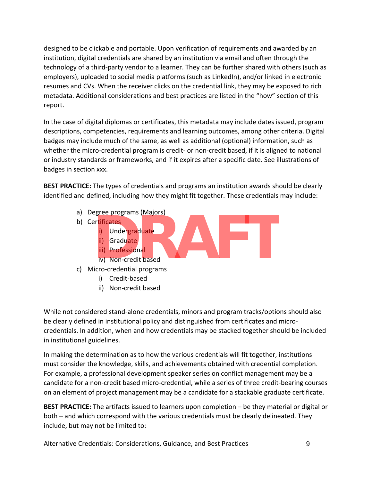designed to be clickable and portable. Upon verification of requirements and awarded by an institution, digital credentials are shared by an institution via email and often through the technology of a third-party vendor to a learner. They can be further shared with others (such as employers), uploaded to social media platforms (such as LinkedIn), and/or linked in electronic resumes and CVs. When the receiver clicks on the credential link, they may be exposed to rich metadata. Additional considerations and best practices are listed in the "how" section of this report.

In the case of digital diplomas or certificates, this metadata may include dates issued, program descriptions, competencies, requirements and learning outcomes, among other criteria. Digital badges may include much of the same, as well as additional (optional) information, such as whether the micro-credential program is credit- or non-credit based, if it is aligned to national or industry standards or frameworks, and if it expires after a specific date. See illustrations of badges in section xxx.

**BEST PRACTICE:** The types of credentials and programs an institution awards should be clearly identified and defined, including how they might fit together. These credentials may include:

- a) Degree programs (Majors)
- b) Certificates Undergraduate ii) Graduate iii) Professional iv) Non-credit based c) Micro-credential programs President programs (Majors)<br>
President<br> **DRAFT**<br> **DRAFT**<br> **DRAFT**<br> **DRAFT**<br> **DRAFT**<br> **DRAFT**<br> **DRAFT**<br> **DRAFT**<br> **DRAFT**<br> **DRAFT**<br> **DRAFT**<br> **DRAFT**<br> **DRAFT**<br> **DRAFT**<br> **DRAFT**<br> **DRAFT**<br> **DRAFT**<br> **DRAFT**<br> **DRAFT**<br> **DRAFT**<br> **D** 
	- i) Credit-based
	- ii) Non-credit based

While not considered stand-alone credentials, minors and program tracks/options should also be clearly defined in institutional policy and distinguished from certificates and microcredentials. In addition, when and how credentials may be stacked together should be included in institutional guidelines.

In making the determination as to how the various credentials will fit together, institutions must consider the knowledge, skills, and achievements obtained with credential completion. For example, a professional development speaker series on conflict management may be a candidate for a non-credit based micro-credential, while a series of three credit-bearing courses on an element of project management may be a candidate for a stackable graduate certificate.

**BEST PRACTICE:** The artifacts issued to learners upon completion – be they material or digital or both – and which correspond with the various credentials must be clearly delineated. They include, but may not be limited to: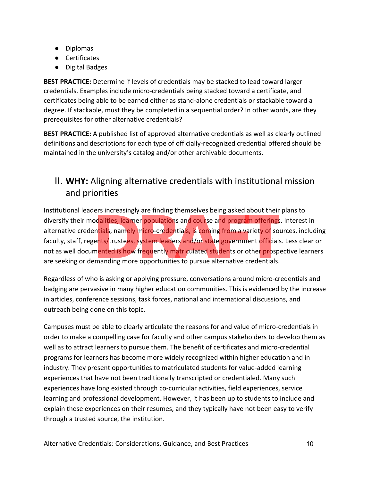- Diplomas
- Certificates
- Digital Badges

**BEST PRACTICE:** Determine if levels of credentials may be stacked to lead toward larger credentials. Examples include micro-credentials being stacked toward a certificate, and certificates being able to be earned either as stand-alone credentials or stackable toward a degree. If stackable, must they be completed in a sequential order? In other words, are they prerequisites for other alternative credentials?

**BEST PRACTICE:** A published list of approved alternative credentials as well as clearly outlined definitions and descriptions for each type of officially-recognized credential offered should be maintained in the university's catalog and/or other archivable documents.

## II. **WHY:** Aligning alternative credentials with institutional mission and priorities

Institutional leaders increasingly are finding themselves being asked about their plans to diversify their modalities, learner populations and course and program offerings. Interest in alternative creden<mark>tia</mark>ls, nam<mark>el</mark>y micro-credentials, is coming from a variety of sources, including faculty, staff, regents/trustees, system leaders and/or state government officials. Less clear or not as well documented is how frequently matriculated students or other prospective learners are seeking or demanding more opportunities to pursue alternative credentials. **Drawing the manns the start of the manns of the start of the properties seen and program offerings initials, namely micro-credentials, is coming from a variety of so ents/trustees, system leaders and/or state government o** 

Regardless of who is asking or applying pressure, conversations around micro-credentials and badging are pervasive in many higher education communities. This is evidenced by the increase in articles, conference sessions, task forces, national and international discussions, and outreach being done on this topic.

Campuses must be able to clearly articulate the reasons for and value of micro-credentials in order to make a compelling case for faculty and other campus stakeholders to develop them as well as to attract learners to pursue them. The benefit of certificates and micro-credential programs for learners has become more widely recognized within higher education and in industry. They present opportunities to matriculated students for value-added learning experiences that have not been traditionally transcripted or credentialed. Many such experiences have long existed through co-curricular activities, field experiences, service learning and professional development. However, it has been up to students to include and explain these experiences on their resumes, and they typically have not been easy to verify through a trusted source, the institution.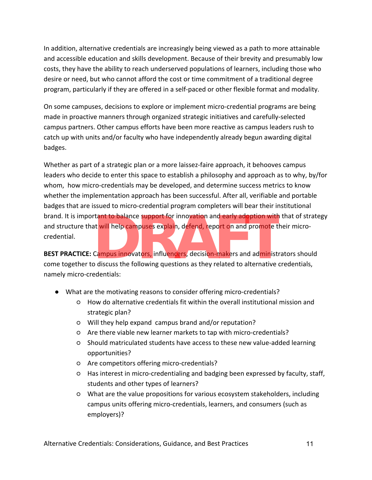In addition, alternative credentials are increasingly being viewed as a path to more attainable and accessible education and skills development. Because of their brevity and presumably low costs, they have the ability to reach underserved populations of learners, including those who desire or need, but who cannot afford the cost or time commitment of a traditional degree program, particularly if they are offered in a self-paced or other flexible format and modality.

On some campuses, decisions to explore or implement micro-credential programs are being made in proactive manners through organized strategic initiatives and carefully-selected campus partners. Other campus efforts have been more reactive as campus leaders rush to catch up with units and/or faculty who have independently already begun awarding digital badges.

Whether as part of a strategic plan or a more laissez-faire approach, it behooves campus leaders who decide to enter this space to establish a philosophy and approach as to why, by/for whom, how micro-credentials may be developed, and determine success metrics to know whether the implementation approach has been successful. After all, verifiable and portable badges that are issued to micro-credential program completers will bear their institutional brand. It is important to balance support for innovation and early adoption with that of strategy and structure that <mark>w</mark>ill help campuses explain, defend, report on and pro<mark>m</mark>ote their microcredential. Trant to balance support for innovation and early adoption with<br>at will help campuses explain, defend, report on and promote t<br>Campus innovators, influencers, decision-makers and administr<br>Discuss the following questions a

**BEST PRACTICE:** Campus innovators, influencers, decision-makers and administrators should come together to discuss the following questions as they related to alternative credentials, namely micro-credentials:

- What are the motivating reasons to consider offering micro-credentials?
	- How do alternative credentials fit within the overall institutional mission and strategic plan?
	- Will they help expand campus brand and/or reputation?
	- Are there viable new learner markets to tap with micro-credentials?
	- Should matriculated students have access to these new value-added learning opportunities?
	- Are competitors offering micro-credentials?
	- Has interest in micro-credentialing and badging been expressed by faculty, staff, students and other types of learners?
	- What are the value propositions for various ecosystem stakeholders, including campus units offering micro-credentials, learners, and consumers (such as employers)?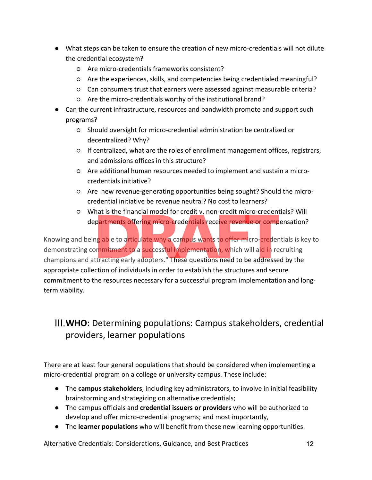- What steps can be taken to ensure the creation of new micro-credentials will not dilute the credential ecosystem?
	- Are micro-credentials frameworks consistent?
	- Are the experiences, skills, and competencies being credentialed meaningful?
	- Can consumers trust that earners were assessed against measurable criteria?
	- Are the micro-credentials worthy of the institutional brand?
- Can the current infrastructure, resources and bandwidth promote and support such programs?
	- Should oversight for micro-credential administration be centralized or decentralized? Why?
	- If centralized, what are the roles of enrollment management offices, registrars, and admissions offices in this structure?
	- Are additional human resources needed to implement and sustain a microcredentials initiative?
	- Are new revenue-generating opportunities being sought? Should the microcredential initiative be revenue neutral? No cost to learners?
	- What is the financial model for credit v. non-credit micro-credentials? Will dep<mark>artments offering micro-</mark>credentials receive revenue or compensation?

Knowing and being able to articulate why a campus wants to offer micro-credentials is key to demonstrating commitment to a successful implementation, which will aid in recruiting champions and attracting early adopters." These questions need to be addressed by the appropriate collection of individuals in order to establish the structures and secure commitment to the resources necessary for a successful program implementation and longterm viability. Partments offering micro-credentials receive revenue or compartments offering micro-credentials receive revenue or comp<br>ng able to articulate why a campus wants to offer micro-creder<br>primitment to a successful implementati

# III.**WHO:** Determining populations: Campus stakeholders, credential providers, learner populations

There are at least four general populations that should be considered when implementing a micro-credential program on a college or university campus. These include:

- The **campus stakeholders**, including key administrators, to involve in initial feasibility brainstorming and strategizing on alternative credentials;
- The campus officials and **credential issuers or providers** who will be authorized to develop and offer micro-credential programs; and most importantly,
- The **learner populations** who will benefit from these new learning opportunities.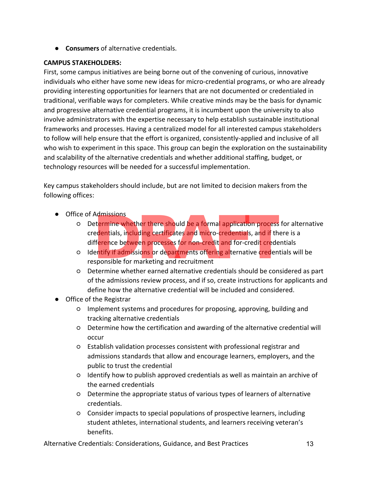● **Consumers** of alternative credentials.

#### **CAMPUS STAKEHOLDERS:**

First, some campus initiatives are being borne out of the convening of curious, innovative individuals who either have some new ideas for micro-credential programs, or who are already providing interesting opportunities for learners that are not documented or credentialed in traditional, verifiable ways for completers. While creative minds may be the basis for dynamic and progressive alternative credential programs, it is incumbent upon the university to also involve administrators with the expertise necessary to help establish sustainable institutional frameworks and processes. Having a centralized model for all interested campus stakeholders to follow will help ensure that the effort is organized, consistently-applied and inclusive of all who wish to experiment in this space. This group can begin the exploration on the sustainability and scalability of the alternative credentials and whether additional staffing, budget, or technology resources will be needed for a successful implementation.

Key campus stakeholders should include, but are not limited to decision makers from the following offices:

- Office of Admissions
	- Determine whether there should be a formal application process for alternative credentials, i<mark>ncluding</mark> certificates and micro-credentials, and if there is a difference between processes for non-credit and for-credit credentials Admissions<br> **Example 2018**<br> **Example 2018**<br> **Example 2019**<br> **Example 2019**<br> **Example 2019**<br> **Example 2019**<br> **Example 2019**<br> **Example 2019**<br> **Example 2019**<br> **Example 2019**<br> **Example 2019**<br> **Example 2019**<br> **Example 2019**<br> **E**
	- Identify if admissions or departments offering alternative credentials will be responsible for marketing and recruitment
	- Determine whether earned alternative credentials should be considered as part of the admissions review process, and if so, create instructions for applicants and define how the alternative credential will be included and considered.
- Office of the Registrar
	- Implement systems and procedures for proposing, approving, building and tracking alternative credentials
	- Determine how the certification and awarding of the alternative credential will occur
	- Establish validation processes consistent with professional registrar and admissions standards that allow and encourage learners, employers, and the public to trust the credential
	- Identify how to publish approved credentials as well as maintain an archive of the earned credentials
	- Determine the appropriate status of various types of learners of alternative credentials.
	- Consider impacts to special populations of prospective learners, including student athletes, international students, and learners receiving veteran's benefits.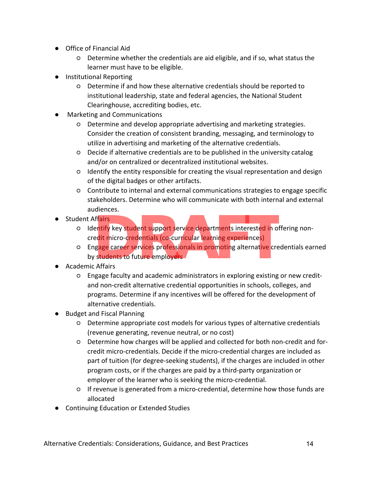- Office of Financial Aid
	- Determine whether the credentials are aid eligible, and if so, what status the learner must have to be eligible.
- Institutional Reporting
	- Determine if and how these alternative credentials should be reported to institutional leadership, state and federal agencies, the National Student Clearinghouse, accrediting bodies, etc.
- Marketing and Communications
	- Determine and develop appropriate advertising and marketing strategies. Consider the creation of consistent branding, messaging, and terminology to utilize in advertising and marketing of the alternative credentials.
	- Decide if alternative credentials are to be published in the university catalog and/or on centralized or decentralized institutional websites.
	- Identify the entity responsible for creating the visual representation and design of the digital badges or other artifacts.
	- Contribute to internal and external communications strategies to engage specific stakeholders. Determine who will communicate with both internal and external audiences.
- Student Affairs
	- Identify key student support service departments interested in offering noncredit micro-credentials (co-curricular learning experiences)
- Engage career services professionals in promoting alternative credentials earned by students to future employers Affairs<br>
entify key student support service departments interested in o<br>
edit micro-credentials (co-curricular learning experiences)<br>
Igage career services professionals in promoting alternative cre<br>
cy students to future
- Academic Affairs
	- Engage faculty and academic administrators in exploring existing or new creditand non-credit alternative credential opportunities in schools, colleges, and programs. Determine if any incentives will be offered for the development of alternative credentials.
- Budget and Fiscal Planning
	- Determine appropriate cost models for various types of alternative credentials (revenue generating, revenue neutral, or no cost)
	- Determine how charges will be applied and collected for both non-credit and forcredit micro-credentials. Decide if the micro-credential charges are included as part of tuition (for degree-seeking students), if the charges are included in other program costs, or if the charges are paid by a third-party organization or employer of the learner who is seeking the micro-credential.
	- If revenue is generated from a micro-credential, determine how those funds are allocated
- Continuing Education or Extended Studies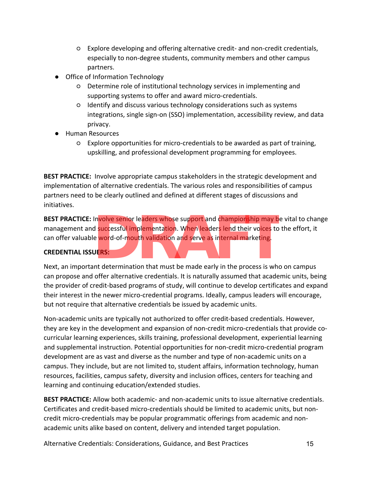- Explore developing and offering alternative credit- and non-credit credentials, especially to non-degree students, community members and other campus partners.
- Office of Information Technology
	- Determine role of institutional technology services in implementing and supporting systems to offer and award micro-credentials.
	- Identify and discuss various technology considerations such as systems integrations, single sign-on (SSO) implementation, accessibility review, and data privacy.
- Human Resources
	- Explore opportunities for micro-credentials to be awarded as part of training, upskilling, and professional development programming for employees.

**BEST PRACTICE:** Involve appropriate campus stakeholders in the strategic development and implementation of alternative credentials. The various roles and responsibilities of campus partners need to be clearly outlined and defined at different stages of discussions and initiatives.

**BEST PRACTICE:** Involve senior leaders whose support and championship may be vital to change<br>
management and successful implementation. When leaders lend their voices to the effort, it<br>
can offer valuable word-of-mouth va management and successful implementation. When leaders lend their voices to the effort, it can offer valuable word-of-mouth validation and serve as internal marketing.

#### **CREDENTIAL ISSUERS:**

Next, an important determination that must be made early in the process is who on campus can propose and offer alternative credentials. It is naturally assumed that academic units, being the provider of credit-based programs of study, will continue to develop certificates and expand their interest in the newer micro-credential programs. Ideally, campus leaders will encourage, but not require that alternative credentials be issued by academic units.

Non-academic units are typically not authorized to offer credit-based credentials. However, they are key in the development and expansion of non-credit micro-credentials that provide cocurricular learning experiences, skills training, professional development, experiential learning and supplemental instruction. Potential opportunities for non-credit micro-credential program development are as vast and diverse as the number and type of non-academic units on a campus. They include, but are not limited to, student affairs, information technology, human resources, facilities, campus safety, diversity and inclusion offices, centers for teaching and learning and continuing education/extended studies.

**BEST PRACTICE:** Allow both academic- and non-academic units to issue alternative credentials. Certificates and credit-based micro-credentials should be limited to academic units, but noncredit micro-credentials may be popular programmatic offerings from academic and nonacademic units alike based on content, delivery and intended target population.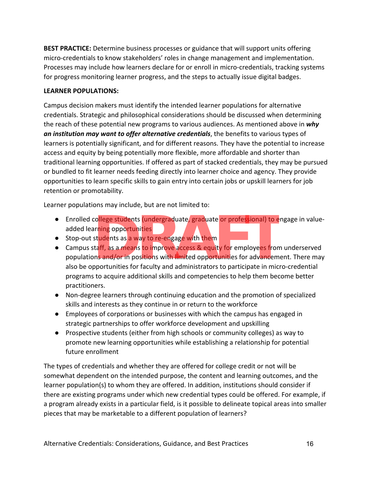**BEST PRACTICE:** Determine business processes or guidance that will support units offering micro-credentials to know stakeholders' roles in change management and implementation. Processes may include how learners declare for or enroll in micro-credentials, tracking systems for progress monitoring learner progress, and the steps to actually issue digital badges.

#### **LEARNER POPULATIONS:**

Campus decision makers must identify the intended learner populations for alternative credentials. Strategic and philosophical considerations should be discussed when determining the reach of these potential new programs to various audiences. As mentioned above in *why an institution may want to offer alternative credentials*, the benefits to various types of learners is potentially significant, and for different reasons. They have the potential to increase access and equity by being potentially more flexible, more affordable and shorter than traditional learning opportunities. If offered as part of stacked credentials, they may be pursued or bundled to fit learner needs feeding directly into learner choice and agency. They provide opportunities to learn specific skills to gain entry into certain jobs or upskill learners for job retention or promotability.

Learner populations may include, but are not limited to:

- added learning opportunities
- Stop-out students as a way to re-engage with them
- Enrolled college students (undergraduate, graduate or professional) to engage in value-<br>
added learning opportunities<br>
 Stop-out students as a way to re-engage with them<br>
Campus staff, as a means to improve access & eq ● Campus staff, as a means to improve access & equity for employees from underserved populations and/or in positions with limited opportunities for advancement. There may also be opportunities for faculty and administrators to participate in micro-credential programs to acquire additional skills and competencies to help them become better practitioners.
- Non-degree learners through continuing education and the promotion of specialized skills and interests as they continue in or return to the workforce
- Employees of corporations or businesses with which the campus has engaged in strategic partnerships to offer workforce development and upskilling
- Prospective students (either from high schools or community colleges) as way to promote new learning opportunities while establishing a relationship for potential future enrollment

The types of credentials and whether they are offered for college credit or not will be somewhat dependent on the intended purpose, the content and learning outcomes, and the learner population(s) to whom they are offered. In addition, institutions should consider if there are existing programs under which new credential types could be offered. For example, if a program already exists in a particular field, is it possible to delineate topical areas into smaller pieces that may be marketable to a different population of learners?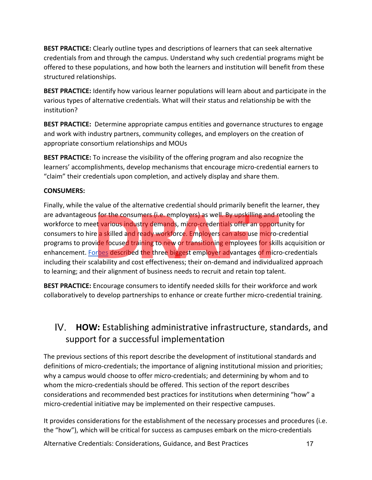**BEST PRACTICE:** Clearly outline types and descriptions of learners that can seek alternative credentials from and through the campus. Understand why such credential programs might be offered to these populations, and how both the learners and institution will benefit from these structured relationships.

**BEST PRACTICE:** Identify how various learner populations will learn about and participate in the various types of alternative credentials. What will their status and relationship be with the institution?

**BEST PRACTICE:** Determine appropriate campus entities and governance structures to engage and work with industry partners, community colleges, and employers on the creation of appropriate consortium relationships and MOUs

**BEST PRACTICE:** To increase the visibility of the offering program and also recognize the learners' accomplishments, develop mechanisms that encourage micro-credential earners to "claim" their credentials upon completion, and actively display and share them.

#### **CONSUMERS:**

Finally, while the value of the alternative credential should primarily benefit the learner, they are advantageous for the consumers (i.e. employers) as well. By upskilling and retooling the workforce to meet various industry demands, micro-credentials offer an <mark>op</mark>portunity for consumers to hire a skilled and ready workforce. Employers can also use micro-credential programs to provide focused training to new or transitioning employees for skills acquisition or enhancement. Forbes described the three biggest employer advantages of micro-credentials including their scalability and cost effectiveness; their on-demand and individualized approach to learning; and their alignment of business needs to recruit and retain top talent. Is for the consumers (i.e. employers) as well. By upskilling and red various industry demands, micro-credentials offer an opport e a skilled and ready workforce. Employers can also use micro-<br>
vide focused training to new

**BEST PRACTICE:** Encourage consumers to identify needed skills for their workforce and work collaboratively to develop partnerships to enhance or create further micro-credential training.

### IV. **HOW:** Establishing administrative infrastructure, standards, and support for a successful implementation

The previous sections of this report describe the development of institutional standards and definitions of micro-credentials; the importance of aligning institutional mission and priorities; why a campus would choose to offer micro-credentials; and determining by whom and to whom the micro-credentials should be offered. This section of the report describes considerations and recommended best practices for institutions when determining "how" a micro-credential initiative may be implemented on their respective campuses.

It provides considerations for the establishment of the necessary processes and procedures (i.e. the "how"), which will be critical for success as campuses embark on the micro-credentials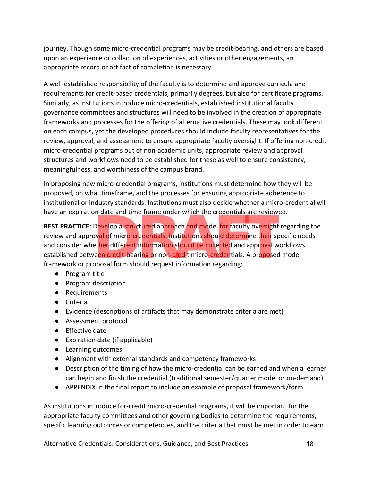journey. Though some micro-credential programs may be credit-bearing, and others are based upon an experience or collection of experiences, activities or other engagements, an appropriate record or artifact of completion is necessary.

A well-established responsibility of the faculty is to determine and approve curricula and requirements for credit-based credentials, primarily degrees, but also for certificate programs. Similarly, as institutions introduce micro-credentials, established institutional faculty governance committees and structures will need to be involved in the creation of appropriate frameworks and processes for the offering of alternative credentials. These may look different on each campus, yet the developed procedures should include faculty representatives for the review, approval, and assessment to ensure appropriate faculty oversight. If offering non-credit micro-credential programs out of non-academic units, appropriate review and approval structures and workflows need to be established for these as well to ensure consistency, meaningfulness, and worthiness of the campus brand.

In proposing new micro-credential programs, institutions must determine how they will be proposed, on what timeframe, and the processes for ensuring appropriate adherence to institutional or industry standards. Institutions must also decide whether a micro-credential will have an expiration date and time frame under which the credentials are reviewed.

**BEST PRACTICE:** Develop a structured approach and model for faculty oversight regarding the review and approval of micro-credentials. Institutions should determine their specific needs and consider whether different information should be collected and approval workflows established between credit-bearing or non-credit micro-credentials. A proposed model framework or proposal form should request information regarding: Develop a structured approach and model for faculty oversight<br>Develop a structured approach and model for faculty oversight<br>by all of micro-credentials. Institutions should determine their species<br>ether different informati

- Program title
- Program description
- Requirements
- Criteria
- Evidence (descriptions of artifacts that may demonstrate criteria are met)
- Assessment protocol
- Effective date
- Expiration date (if applicable)
- Learning outcomes
- Alignment with external standards and competency frameworks
- Description of the timing of how the micro-credential can be earned and when a learner can begin and finish the credential (traditional semester/quarter model or on-demand)
- APPENDIX in the final report to include an example of proposal framework/form

As institutions introduce for-credit micro-credential programs, it will be important for the appropriate faculty committees and other governing bodies to determine the requirements, specific learning outcomes or competencies, and the criteria that must be met in order to earn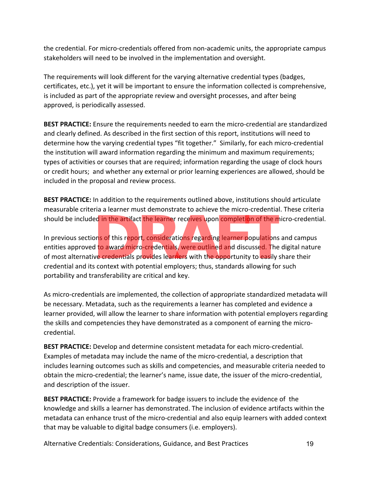the credential. For micro-credentials offered from non-academic units, the appropriate campus stakeholders will need to be involved in the implementation and oversight.

The requirements will look different for the varying alternative credential types (badges, certificates, etc.), yet it will be important to ensure the information collected is comprehensive, is included as part of the appropriate review and oversight processes, and after being approved, is periodically assessed.

**BEST PRACTICE:** Ensure the requirements needed to earn the micro-credential are standardized and clearly defined. As described in the first section of this report, institutions will need to determine how the varying credential types "fit together." Similarly, for each micro-credential the institution will award information regarding the minimum and maximum requirements; types of activities or courses that are required; information regarding the usage of clock hours or credit hours; and whether any external or prior learning experiences are allowed, should be included in the proposal and review process.

**BEST PRACTICE:** In addition to the requirements outlined above, institutions should articulate measurable criteria a learner must demonstrate to achieve the micro-credential. These criteria should be included in the artifact the learner receives upon completion of the micro-credential.

In previous section<mark>s of this report, considerations</mark> regarding learner popu<mark>la</mark>tions and campus entities approved to award micro-credentials, were outlined and discussed. The digital nature of most alternative credentials provides learners with the opportunity to easily share their credential and its context with potential employers; thus, standards allowing for such portability and transferability are critical and key. ed in the artifact the learner receives upon completion of the m<br>ons of this report, considerations regarding learner populations<br>d to award micro-credentials, were outlined and discussed. The<br>ve credentials provides learn

As micro-credentials are implemented, the collection of appropriate standardized metadata will be necessary. Metadata, such as the requirements a learner has completed and evidence a learner provided, will allow the learner to share information with potential employers regarding the skills and competencies they have demonstrated as a component of earning the microcredential.

**BEST PRACTICE:** Develop and determine consistent metadata for each micro-credential. Examples of metadata may include the name of the micro-credential, a description that includes learning outcomes such as skills and competencies, and measurable criteria needed to obtain the micro-credential; the learner's name, issue date, the issuer of the micro-credential, and description of the issuer.

**BEST PRACTICE:** Provide a framework for badge issuers to include the evidence of the knowledge and skills a learner has demonstrated. The inclusion of evidence artifacts within the metadata can enhance trust of the micro-credential and also equip learners with added context that may be valuable to digital badge consumers (i.e. employers).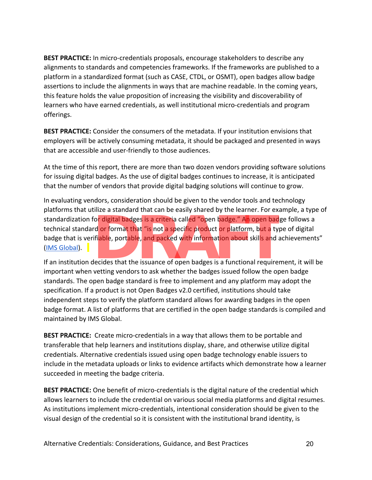**BEST PRACTICE:** In micro-credentials proposals, encourage stakeholders to describe any alignments to standards and competencies frameworks. If the frameworks are published to a platform in a standardized format (such as CASE, CTDL, or OSMT), open badges allow badge assertions to include the alignments in ways that are machine readable. In the coming years, this feature holds the value proposition of increasing the visibility and discoverability of learners who have earned credentials, as well institutional micro-credentials and program offerings.

**BEST PRACTICE:** Consider the consumers of the metadata. If your institution envisions that employers will be actively consuming metadata, it should be packaged and presented in ways that are accessible and user-friendly to those audiences.

At the time of this report, there are more than two dozen vendors providing software solutions for issuing digital badges. As the use of digital badges continues to increase, it is anticipated that the number of vendors that provide digital badging solutions will continue to grow.

In evaluating vendors, consideration should be given to the vendor tools and technology platforms that utilize a standard that can be easily shared by the learner. For example, a type of standardization for digital badges is a criteria called "open badge." An open badge follows a<br>technical standard or format that "is not a specific product or platform, but a type of digital<br>badge that is verifiable, portab technical standard or format that "is not a specific product or platform, but a type of digital badge that is verifiable, portable, and packed with information about skills and achievements" (IMS Global).

If an institution decides that the issuance of open badges is a functional requirement, it will be important when vetting vendors to ask whether the badges issued follow the open badge standards. The open badge standard is free to implement and any platform may adopt the specification. If a product is not Open Badges v2.0 certified, institutions should take independent steps to verify the platform standard allows for awarding badges in the open badge format. A list of platforms that are certified in the open badge standards is compiled and maintained by IMS Global.

**BEST PRACTICE:** Create micro-credentials in a way that allows them to be portable and transferable that help learners and institutions display, share, and otherwise utilize digital credentials. Alternative credentials issued using open badge technology enable issuers to include in the metadata uploads or links to evidence artifacts which demonstrate how a learner succeeded in meeting the badge criteria.

**BEST PRACTICE:** One benefit of micro-credentials is the digital nature of the credential which allows learners to include the credential on various social media platforms and digital resumes. As institutions implement micro-credentials, intentional consideration should be given to the visual design of the credential so it is consistent with the institutional brand identity, is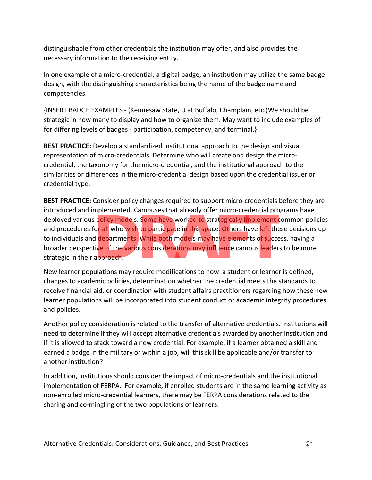distinguishable from other credentials the institution may offer, and also provides the necessary information to the receiving entity.

In one example of a micro-credential, a digital badge, an institution may utilize the same badge design, with the distinguishing characteristics being the name of the badge name and competencies.

{INSERT BADGE EXAMPLES - (Kennesaw State, U at Buffalo, Champlain, etc.)We should be strategic in how many to display and how to organize them. May want to include examples of for differing levels of badges - participation, competency, and terminal.}

**BEST PRACTICE:** Develop a standardized institutional approach to the design and visual representation of micro-credentials. Determine who will create and design the microcredential, the taxonomy for the micro-credential, and the institutional approach to the similarities or differences in the micro-credential design based upon the credential issuer or credential type.

**BEST PRACTICE:** Consider policy changes required to support micro-credentials before they are introduced and implemented. Campuses that already offer micro-credential programs have deployed various policy models. Some have worked to strategically implement common policies<br>and procedures for all who wish to participate in this space. Others have left these decisions up<br>to individuals and departments. and procedures for all who wish to participate in this space. Others have left these decisions up to individuals and departments. While both models may have elements of success, having a broader perspective of the various considerations may influence campus leaders to be more strategic in their approach.

New learner populations may require modifications to how a student or learner is defined, changes to academic policies, determination whether the credential meets the standards to receive financial aid, or coordination with student affairs practitioners regarding how these new learner populations will be incorporated into student conduct or academic integrity procedures and policies.

Another policy consideration is related to the transfer of alternative credentials. Institutions will need to determine if they will accept alternative credentials awarded by another institution and if it is allowed to stack toward a new credential. For example, if a learner obtained a skill and earned a badge in the military or within a job, will this skill be applicable and/or transfer to another institution?

In addition, institutions should consider the impact of micro-credentials and the institutional implementation of FERPA. For example, if enrolled students are in the same learning activity as non-enrolled micro-credential learners, there may be FERPA considerations related to the sharing and co-mingling of the two populations of learners.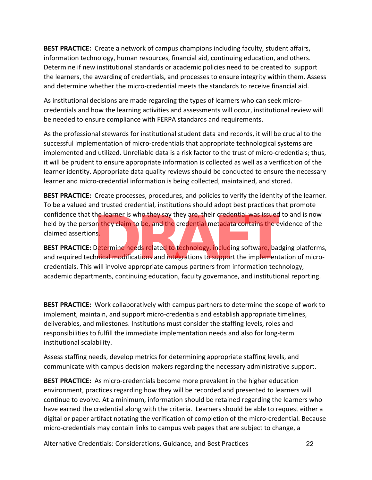**BEST PRACTICE:** Create a network of campus champions including faculty, student affairs, information technology, human resources, financial aid, continuing education, and others. Determine if new institutional standards or academic policies need to be created to support the learners, the awarding of credentials, and processes to ensure integrity within them. Assess and determine whether the micro-credential meets the standards to receive financial aid.

As institutional decisions are made regarding the types of learners who can seek microcredentials and how the learning activities and assessments will occur, institutional review will be needed to ensure compliance with FERPA standards and requirements.

As the professional stewards for institutional student data and records, it will be crucial to the successful implementation of micro-credentials that appropriate technological systems are implemented and utilized. Unreliable data is a risk factor to the trust of micro-credentials; thus, it will be prudent to ensure appropriate information is collected as well as a verification of the learner identity. Appropriate data quality reviews should be conducted to ensure the necessary learner and micro-credential information is being collected, maintained, and stored.

**BEST PRACTICE:** Create processes, procedures, and policies to verify the identity of the learner. To be a valued and trusted credential, institutions should adopt best practices that promote confidence that the learner is who they say they are, their credential was issued to and is now held by the person they claim to be, and the credential metadata contain<mark>s</mark> the evidence of the claimed assertions.

**BEST PRACTICE:** Determine needs related to technology, including software, badging platforms, and required technical modifications and integrations to support the implementation of microcredentials. This will involve appropriate campus partners from information technology, academic departments, continuing education, faculty governance, and institutional reporting. the learner is who they say they are, their credential was issued<br>on they claim to be, and the credential metadata contains the e<br>ns.<br>Determine needs related to technology, including software, ba<br>hnical modifications and i

**BEST PRACTICE:** Work collaboratively with campus partners to determine the scope of work to implement, maintain, and support micro-credentials and establish appropriate timelines, deliverables, and milestones. Institutions must consider the staffing levels, roles and responsibilities to fulfill the immediate implementation needs and also for long-term institutional scalability.

Assess staffing needs, develop metrics for determining appropriate staffing levels, and communicate with campus decision makers regarding the necessary administrative support.

**BEST PRACTICE:** As micro-credentials become more prevalent in the higher education environment, practices regarding how they will be recorded and presented to learners will continue to evolve. At a minimum, information should be retained regarding the learners who have earned the credential along with the criteria. Learners should be able to request either a digital or paper artifact notating the verification of completion of the micro-credential. Because micro-credentials may contain links to campus web pages that are subject to change, a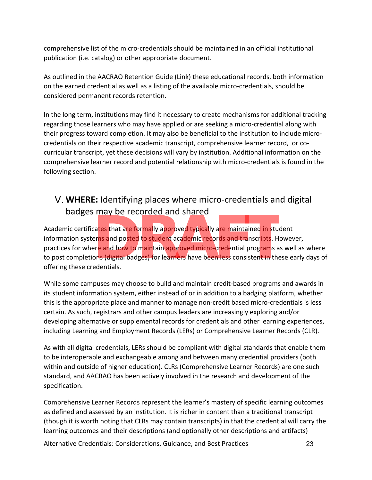comprehensive list of the micro-credentials should be maintained in an official institutional publication (i.e. catalog) or other appropriate document.

As outlined in the AACRAO Retention Guide (Link) these educational records, both information on the earned credential as well as a listing of the available micro-credentials, should be considered permanent records retention.

In the long term, institutions may find it necessary to create mechanisms for additional tracking regarding those learners who may have applied or are seeking a micro-credential along with their progress toward completion. It may also be beneficial to the institution to include microcredentials on their respective academic transcript, comprehensive learner record, or cocurricular transcript, yet these decisions will vary by institution. Additional information on the comprehensive learner record and potential relationship with micro-credentials is found in the following section.

## V. **WHERE:** Identifying places where micro-credentials and digital badges may be recorded and shared

Academic certificates that are formally approved typically are maintained in student information systems and posted to student academic records and transcripts. However, practices for wher<mark>e a</mark>nd how to maintain appr<mark>oved micr</mark>o-c<mark>re</mark>dential progra</mark>ms as well as where to post completions (digital badges) for learners have been less consistent in these early days of offering these credentials. **Example 1 ECOTOEG at TO STATEGY**<br>Cates that are formally approved typically are maintained in students<br>and posted to student academic records and transcripts. Here and how to maintain approved micro-credential programs as

While some campuses may choose to build and maintain credit-based programs and awards in its student information system, either instead of or in addition to a badging platform, whether this is the appropriate place and manner to manage non-credit based micro-credentials is less certain. As such, registrars and other campus leaders are increasingly exploring and/or developing alternative or supplemental records for credentials and other learning experiences, including Learning and Employment Records (LERs) or Comprehensive Learner Records (CLR).

As with all digital credentials, LERs should be compliant with digital standards that enable them to be interoperable and exchangeable among and between many credential providers (both within and outside of higher education). CLRs (Comprehensive Learner Records) are one such standard, and AACRAO has been actively involved in the research and development of the specification.

Comprehensive Learner Records represent the learner's mastery of specific learning outcomes as defined and assessed by an institution. It is richer in content than a traditional transcript (though it is worth noting that CLRs may contain transcripts) in that the credential will carry the learning outcomes and their descriptions (and optionally other descriptions and artifacts)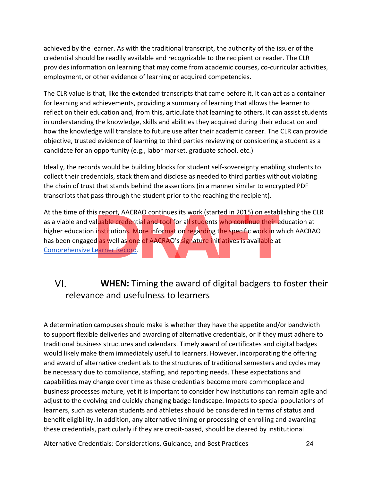achieved by the learner. As with the traditional transcript, the authority of the issuer of the credential should be readily available and recognizable to the recipient or reader. The CLR provides information on learning that may come from academic courses, co-curricular activities, employment, or other evidence of learning or acquired competencies.

The CLR value is that, like the extended transcripts that came before it, it can act as a container for learning and achievements, providing a summary of learning that allows the learner to reflect on their education and, from this, articulate that learning to others. It can assist students in understanding the knowledge, skills and abilities they acquired during their education and how the knowledge will translate to future use after their academic career. The CLR can provide objective, trusted evidence of learning to third parties reviewing or considering a student as a candidate for an opportunity (e.g., labor market, graduate school, etc.)

Ideally, the records would be building blocks for student self-sovereignty enabling students to collect their credentials, stack them and disclose as needed to third parties without violating the chain of trust that stands behind the assertions (in a manner similar to encrypted PDF transcripts that pass through the student prior to the reaching the recipient).

At the time of this report, AACRAO continues its work (started in 2015) on establishing the CLR as a viable and valuable credential and tool for all students who continue their education at higher education institutions. More information regarding the specific work in which AACRAO has been engaged <mark>as</mark> well as one of AACRAO's signature initiatives is available at Comprehensive Learner Record. Is report, AACKAO continues its work (started in 2015) on estated<br>aluable credential and tool for all students who continue their example.<br>institutions. More information regarding the specific work in v<br>d as well as one of

# VI. **WHEN:** Timing the award of digital badgers to foster their relevance and usefulness to learners

A determination campuses should make is whether they have the appetite and/or bandwidth to support flexible deliveries and awarding of alternative credentials, or if they must adhere to traditional business structures and calendars. Timely award of certificates and digital badges would likely make them immediately useful to learners. However, incorporating the offering and award of alternative credentials to the structures of traditional semesters and cycles may be necessary due to compliance, staffing, and reporting needs. These expectations and capabilities may change over time as these credentials become more commonplace and business processes mature, yet it is important to consider how institutions can remain agile and adjust to the evolving and quickly changing badge landscape. Impacts to special populations of learners, such as veteran students and athletes should be considered in terms of status and benefit eligibility. In addition, any alternative timing or processing of enrolling and awarding these credentials, particularly if they are credit-based, should be cleared by institutional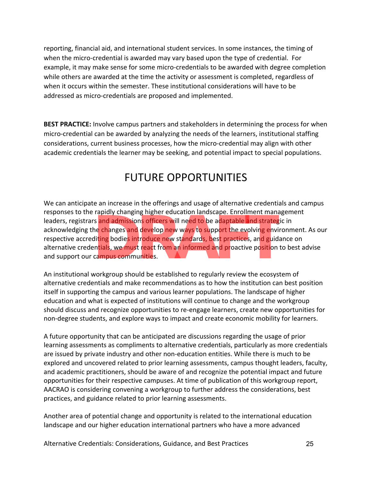reporting, financial aid, and international student services. In some instances, the timing of when the micro-credential is awarded may vary based upon the type of credential. For example, it may make sense for some micro-credentials to be awarded with degree completion while others are awarded at the time the activity or assessment is completed, regardless of when it occurs within the semester. These institutional considerations will have to be addressed as micro-credentials are proposed and implemented.

**BEST PRACTICE:** Involve campus partners and stakeholders in determining the process for when micro-credential can be awarded by analyzing the needs of the learners, institutional staffing considerations, current business processes, how the micro-credential may align with other academic credentials the learner may be seeking, and potential impact to special populations.

# FUTURE OPPORTUNITIES

We can anticipate an increase in the offerings and usage of alternative credentials and campus responses to the rapidly changing higher education landscape. Enrollment management leaders, registrars and admissions officers will need to be adaptable and strategic in acknowledging the changes and develop <mark>ne</mark>w ways to supp<mark>or</mark>t the evolving environment. As our respective accrediting bodies introduce new standards, best practices, and guidance on alternative credentials, we must react from an informed and proactive position to best advise and support our campus communities. Tapluly changing inglier education failuscape. Enforment marks<br>
and admissions officers will need to be adaptable and strateg<br>
the changes and develop new ways to support the evolving envi<br>
diting bodies introduce new stan

An institutional workgroup should be established to regularly review the ecosystem of alternative credentials and make recommendations as to how the institution can best position itself in supporting the campus and various learner populations. The landscape of higher education and what is expected of institutions will continue to change and the workgroup should discuss and recognize opportunities to re-engage learners, create new opportunities for non-degree students, and explore ways to impact and create economic mobility for learners.

A future opportunity that can be anticipated are discussions regarding the usage of prior learning assessments as compliments to alternative credentials, particularly as more credentials are issued by private industry and other non-education entities. While there is much to be explored and uncovered related to prior learning assessments, campus thought leaders, faculty, and academic practitioners, should be aware of and recognize the potential impact and future opportunities for their respective campuses. At time of publication of this workgroup report, AACRAO is considering convening a workgroup to further address the considerations, best practices, and guidance related to prior learning assessments.

Another area of potential change and opportunity is related to the international education landscape and our higher education international partners who have a more advanced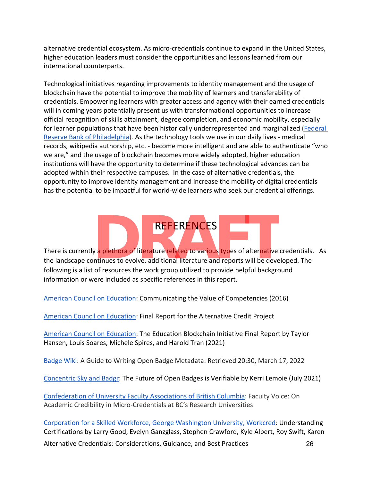alternative credential ecosystem. As micro-credentials continue to expand in the United States, higher education leaders must consider the opportunities and lessons learned from our international counterparts.

Technological initiatives regarding improvements to identity management and the usage of blockchain have the potential to improve the mobility of learners and transferability of credentials. Empowering learners with greater access and agency with their earned credentials will in coming years potentially present us with transformational opportunities to increase official recognition of skills attainment, degree completion, and economic mobility, especially for learner populations that have been historically underrepresented and marginalized (Federal Reserve Bank of Philadelphia). As the technology tools we use in our daily lives - medical records, wikipedia authorship, etc. - become more intelligent and are able to authenticate "who we are," and the usage of blockchain becomes more widely adopted, higher education institutions will have the opportunity to determine if these technological advances can be adopted within their respective campuses. In the case of alternative credentials, the opportunity to improve identity management and increase the mobility of digital credentials has the potential to be impactful for world-wide learners who seek our credential offerings.

There is currently a plethora of literature related to various types of alter<mark>na</mark>tive credentials. As the landscape continues to evolve, additional literature and reports will be developed. The following is a list of resources the work group utilized to provide helpful background information or were included as specific references in this report. **PREFERENCES**<br> **PREFERENCES**<br> **PREFERENCES**<br> **PREFERENCES**<br> **PREFERENCES**<br> **PREFERENCES**<br> **PREFERENCES**<br> **PREFERENCES**<br> **PREFERENCES**<br> **PREFERENCES**<br> **PREFERENCES**<br> **PREFERENCES**<br> **PREFERENCES**<br> **PREFERENCES**<br> **PREFERENCES** 

**REFERENCES** 

American Council on Education: Communicating the Value of Competencies (2016)

American Council on Education: Final Report for the Alternative Credit Project

American Council on Education: The Education Blockchain Initiative Final Report by Taylor Hansen, Louis Soares, Michele Spires, and Harold Tran (2021)

Badge Wiki: A Guide to Writing Open Badge Metadata: Retrieved 20:30, March 17, 2022

Concentric Sky and Badgr: The Future of Open Badges is Verifiable by Kerri Lemoie (July 2021)

Confederation of University Faculty Associations of British Columbia: Faculty Voice: On Academic Credibility in Micro-Credentials at BC's Research Universities

Alternative Credentials: Considerations, Guidance, and Best Practices 26 Corporation for a Skilled Workforce, George Washington University, Workcred: Understanding Certifications by Larry Good, Evelyn Ganzglass, Stephen Crawford, Kyle Albert, Roy Swift, Karen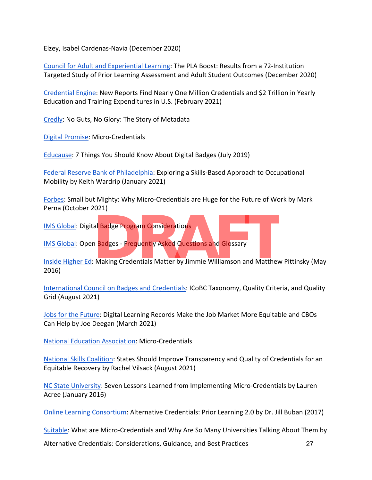Elzey, Isabel Cardenas-Navia (December 2020)

Council for Adult and Experiential Learning: The PLA Boost: Results from a 72-Institution Targeted Study of Prior Learning Assessment and Adult Student Outcomes (December 2020)

Credential Engine: New Reports Find Nearly One Million Credentials and \$2 Trillion in Yearly Education and Training Expenditures in U.S. (February 2021)

Credly: No Guts, No Glory: The Story of Metadata

Digital Promise: Micro-Credentials

Educause: 7 Things You Should Know About Digital Badges (July 2019)

Federal Reserve Bank of Philadelphia: Exploring a Skills-Based Approach to Occupational Mobility by Keith Wardrip (January 2021)

Forbes: Small but Mighty: Why Micro-Credentials are Huge for the Future of Work by Mark Perna (October 2021)

IMS Global: Digital Badge Program Considerations

IMS Global: Open Badges - Frequently Asked Questions and Glossary

Inside Higher Ed: Making Credentials Matter by Jimmie Williamson and Matthew Pittinsky (May 2016) al Badge Program Considerations<br>
1 Badges - Frequently Asked Questions and Glossary<br>
Making Credentials Matter by Jimmie Williamson and Matthew

International Council on Badges and Credentials: ICoBC Taxonomy, Quality Criteria, and Quality Grid (August 2021)

Jobs for the Future: Digital Learning Records Make the Job Market More Equitable and CBOs Can Help by Joe Deegan (March 2021)

National Education Association: Micro-Credentials

National Skills Coalition: States Should Improve Transparency and Quality of Credentials for an Equitable Recovery by Rachel Vilsack (August 2021)

NC State University: Seven Lessons Learned from Implementing Micro-Credentials by Lauren Acree (January 2016)

Online Learning Consortium: Alternative Credentials: Prior Learning 2.0 by Dr. Jill Buban (2017)

Suitable: What are Micro-Credentials and Why Are So Many Universities Talking About Them by